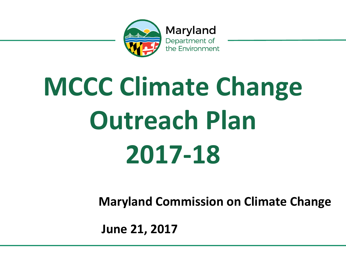

Maryland Department of the Environment

## **MCCC Climate Change Outreach Plan 2017-18**

**Maryland Commission on Climate Change** 

 **June 21, 2017**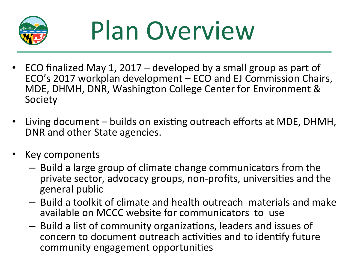

## Plan Overview

- ECO finalized May 1, 2017 developed by a small group as part of ECO's 2017 workplan development - ECO and EJ Commission Chairs, MDE, DHMH, DNR, Washington College Center for Environment & Society
- Living document builds on existing outreach efforts at MDE, DHMH, DNR and other State agencies.
- Key components
	- $-$  Build a large group of climate change communicators from the private sector, advocacy groups, non-profits, universities and the general public
	- $-$  Build a toolkit of climate and health outreach materials and make available on MCCC website for communicators to use
	- $-$  Build a list of community organizations, leaders and issues of concern to document outreach activities and to identify future community engagement opportunities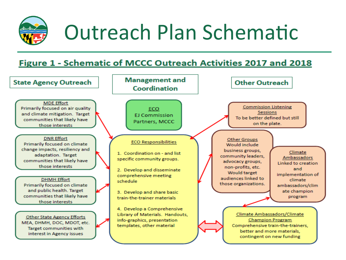

## Outreach Plan Schematic

## **Figure 1 - Schematic of MCCC Outreach Activities 2017 and 2018**

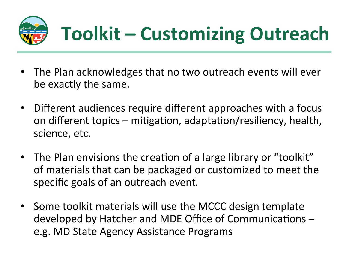

- The Plan acknowledges that no two outreach events will ever be exactly the same.
- Different audiences require different approaches with a focus on different topics – mitigation, adaptation/resiliency, health, science, etc.
- The Plan envisions the creation of a large library or "toolkit" of materials that can be packaged or customized to meet the specific goals of an outreach event.
- Some toolkit materials will use the MCCC design template developed by Hatcher and MDE Office of Communications e.g. MD State Agency Assistance Programs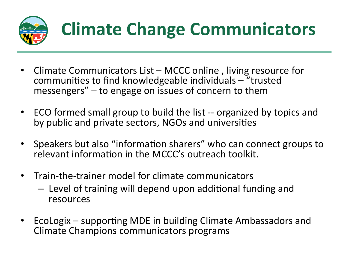

- Climate Communicators  $List MCCC$  online, living resource for communities to find knowledgeable individuals  $-$  "trusted messengers"  $-$  to engage on issues of concern to them
- ECO formed small group to build the list -- organized by topics and by public and private sectors, NGOs and universities
- Speakers but also "information sharers" who can connect groups to relevant information in the MCCC's outreach toolkit.
- Train-the-trainer model for climate communicators
	- $-$  Level of training will depend upon additional funding and resources
- EcoLogix supporting MDE in building Climate Ambassadors and Climate Champions communicators programs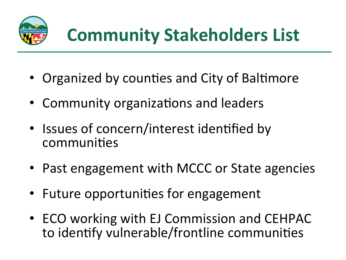

- Organized by counties and City of Baltimore
- Community organizations and leaders
- Issues of concern/interest identified by communities
- Past engagement with MCCC or State agencies
- Future opportunities for engagement
- ECO working with EJ Commission and CEHPAC to identify vulnerable/frontline communities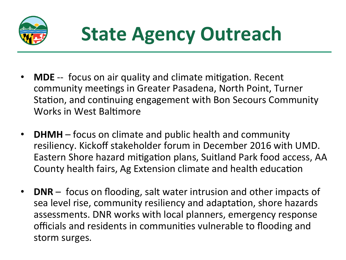

- **MDE** -- focus on air quality and climate mitigation. Recent community meetings in Greater Pasadena, North Point, Turner Station, and continuing engagement with Bon Secours Community Works in West Baltimore
- **DHMH** focus on climate and public health and community resiliency. Kickoff stakeholder forum in December 2016 with UMD. Eastern Shore hazard mitigation plans, Suitland Park food access, AA County health fairs, Ag Extension climate and health education
- **DNR** focus on flooding, salt water intrusion and other impacts of sea level rise, community resiliency and adaptation, shore hazards assessments. DNR works with local planners, emergency response officials and residents in communities vulnerable to flooding and storm surges.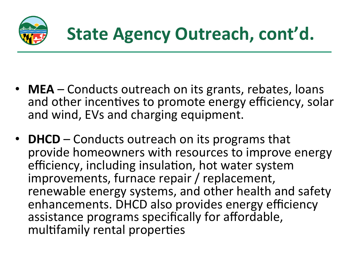

- **MEA** Conducts outreach on its grants, rebates, loans and other incentives to promote energy efficiency, solar and wind, EVs and charging equipment.
- **DHCD** Conducts outreach on its programs that provide homeowners with resources to improve energy efficiency, including insulation, hot water system improvements, furnace repair / replacement, renewable energy systems, and other health and safety enhancements. DHCD also provides energy efficiency assistance programs specifically for affordable, multifamily rental properties